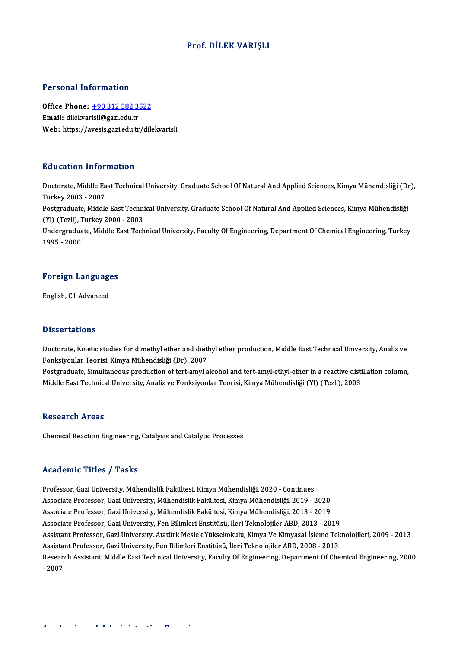## Prof. DİLEK VARIŞLI

#### Personal Information

Personal Information<br>Office Phone: <u>+90 312 582 3522</u><br>Email: dilelyarieli@gari.edu.tr Procession Information<br>Office Phone: <u>+90 312 582 3!</u><br>Email: dilekvar[isli@gazi.edu.tr](tel:+90 312 582 3522) Email: dilekvarisli@gazi.edu.tr<br>Web: https://avesis.gazi.edu.tr/dilekvarisli

### Education Information

**Education Information**<br>Doctorate, Middle East Technical University, Graduate School Of Natural And Applied Sciences, Kimya Mühendisliği (Dr),<br>Turkey 2003 - 2007 Turkey<br>Doctorate, Middle Ea<br>Turkey 2003 - 2007<br>Postavaduate, Middle Doctorate, Middle East Technical University, Graduate School Of Natural And Applied Sciences, Kimya Mühendisliği (Di<br>Turkey 2003 - 2007<br>Postgraduate, Middle East Technical University, Graduate School Of Natural And Applied Turkey 2003 - 2007<br>Postgraduate, Middle East Techni<br>(Yl) (Tezli), Turkey 2000 - 2003<br>Undergraduate Middle Fest Tech Postgraduate, Middle East Technical University, Graduate School Of Natural And Applied Sciences, Kimya Mühendisliği<br>(Yl) (Tezli), Turkey 2000 - 2003<br>Undergraduate, Middle East Technical University, Faculty Of Engineering, (Yl) (Tezli), Turkey 2000 - 2003<br>Undergraduate, Middle East Technical University, Faculty Of Engineering, Department Of Chemical Engineering, Turkey<br>1995 - 2000

# 1995 - 2000<br>Foreign Languages <mark>Foreign Languag</mark><br>English, C1 Advanced

English, C1 Advanced<br>Dissertations

Dissertations<br>Doctorate, Kinetic studies for dimethyl ether and diethyl ether production, Middle East Technical University, Analiz ve<br>Fonksivenler Teerisi *Vimus M*ühandisliği (Dr.), 2007 Basser carroms<br>Doctorate, Kinetic studies for dimethyl ether and dieth<br>Fonksiyonlar Teorisi, Kimya Mühendisliği (Dr), 2007<br>Bostanaduate, Simultaneous production of tert emul a Doctorate, Kinetic studies for dimethyl ether and diethyl ether production, Middle East Technical University, Analiz ve<br>Fonksiyonlar Teorisi, Kimya Mühendisliği (Dr), 2007<br>Postgraduate, Simultaneous production of tert-amyl

Fonksiyonlar Teorisi, Kimya Mühendisliği (Dr), 2007<br>Postgraduate, Simultaneous production of tert-amyl alcohol and tert-amyl-ethyl-ether in a reactive distillation column,<br>Middle East Technical University, Analiz ve Fonksi

#### **Research Areas**

Chemical Reaction Engineering, Catalysis and Catalytic Processes

#### Academic Titles / Tasks

Professor, Gazi University, Mühendislik Fakültesi, Kimya Mühendisliği, 2020 - Continues Associate Articus 7 - 1991<br>Professor, Gazi University, Mühendislik Fakültesi, Kimya Mühendisliği, 2020 - Continues<br>Associate Professor, Gazi University, Mühendislik Fakültesi, Kimya Mühendisliği, 2019 - 2020<br>Associate Prof Professor, Gazi University, Mühendislik Fakültesi, Kimya Mühendisliği, 2020 - Continues<br>Associate Professor, Gazi University, Mühendislik Fakültesi, Kimya Mühendisliği, 2019 - 2020<br>Associate Professor, Gazi University, Müh Associate Professor, Gazi University, Mühendislik Fakültesi, Kimya Mühendisliği, 2019 - 2020<br>Associate Professor, Gazi University, Mühendislik Fakültesi, Kimya Mühendisliği, 2013 - 2019<br>Associate Professor, Gazi University Associate Professor, Gazi University, Mühendislik Fakültesi, Kimya Mühendisliği, 2013 - 2019<br>Associate Professor, Gazi University, Fen Bilimleri Enstitüsü, İleri Teknolojiler ABD, 2013 - 2019<br>Assistant Professor, Gazi Univ Associate Professor, Gazi University, Fen Bilimleri Enstitüsü, İleri Teknolojiler ABD, 2013 - 2019<br>Assistant Professor, Gazi University, Atatürk Meslek Yüksekokulu, Kimya Ve Kimyasal İşleme Tek<br>Assistant Professor, Gazi Un Assistant Professor, Gazi University, Atatürk Meslek Yüksekokulu, Kimya Ve Kimyasal İşleme Teknolojileri, 2009 - 2013<br>Assistant Professor, Gazi University, Fen Bilimleri Enstitüsü, İleri Teknolojiler ABD, 2008 - 2013<br>Resea Assistant Professor, Gazi University, Fen Bilimleri Enstitüsü, İleri Teknolojiler ABD, 2008 - 2013<br>Research Assistant, Middle East Technical University, Faculty Of Engineering, Department Of Chemical Engineering, 2000<br>- 20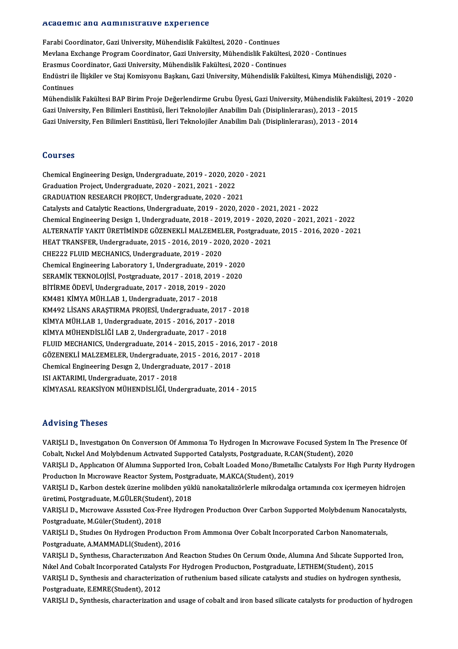#### Academic and Administrative Experience

Farabi Coordinator, Gazi University, Mühendislik Fakültesi, 2020 - Continues Meddemie dina Mamimiesi derve Enperience<br>Farabi Coordinator, Gazi University, Mühendislik Fakültesi, 2020 - Continues<br>Mevlana Exchange Program Coordinator, Gazi University, Mühendislik Fakültesi, 2020 - Continues<br>Frasmus C Farabi Coordinator, Gazi University, Mühendislik Fakültesi, 2020 - Continues<br>Mevlana Exchange Program Coordinator, Gazi University, Mühendislik Fakültes<br>Erasmus Coordinator, Gazi University, Mühendislik Fakültesi, 2020 - C Endüstri ile İlişkiler ve Staj Komisyonu Başkanı, Gazi University, Mühendislik Fakültesi, Kimya Mühendisliği, 2020 -<br>Continues Erasmus Coordinator, Gazi University, Mühendislik Fakültesi, 2020 - Continues Endüstri ile İlişkiler ve Staj Komisyonu Başkanı, Gazi University, Mühendislik Fakültesi, Kimya Mühendisliği, 2020 -<br>Continues<br>Mühendislik Fakültesi BAP Birim Proje Değerlendirme Grubu Üyesi, Gazi University, Mühendislik F

Continues<br>Mühendislik Fakültesi BAP Birim Proje Değerlendirme Grubu Üyesi, Gazi University, Mühendislik Fakül<br>Gazi University, Fen Bilimleri Enstitüsü, İleri Teknolojiler Anabilim Dalı (Disiplinlerarası), 2013 - 2015<br>Cazi Mühendislik Fakültesi BAP Birim Proje Değerlendirme Grubu Üyesi, Gazi University, Mühendislik Fakül<br>Gazi University, Fen Bilimleri Enstitüsü, İleri Teknolojiler Anabilim Dalı (Disiplinlerarası), 2013 - 2015<br>Gazi University Gazi University, Fen Bilimleri Enstitüsü, İleri Teknolojiler Anabilim Dalı (Disiplinlerarası), 2013 - 2014<br>Courses

Courses<br>Chemical Engineering Design, Undergraduate, 2019 - 2020, 2020 - 2021<br>Creduation Project Undergraduate, 2020, 2021, 2021, 2022 Sourcec<br>Chemical Engineering Design, Undergraduate, 2019 - 2020, 202<br>Graduation Project, Undergraduate, 2020 - 2021, 2021 - 2022<br>CRADUATION RESEARCH RROJECT, Undergraduate, 2020, -202 Chemical Engineering Design, Undergraduate, 2019 - 2020, 2020<br>Graduation Project, Undergraduate, 2020 - 2021, 2021 - 2022<br>GRADUATION RESEARCH PROJECT, Undergraduate, 2020 - 2021<br>Catalusts and Catalutis Beastions, Undergrad Graduation Project, Undergraduate, 2020 - 2021, 2021 - 2022<br>GRADUATION RESEARCH PROJECT, Undergraduate, 2020 - 2021<br>Catalysts and Catalytic Reactions, Undergraduate, 2019 - 2020, 2020 - 2021, 2021 - 2022 GRADUATION RESEARCH PROJECT, Undergraduate, 2020 - 2021<br>Catalysts and Catalytic Reactions, Undergraduate, 2019 - 2020, 2020 - 2021, 2021 - 2022<br>Chemical Engineering Design 1, Undergraduate, 2018 - 2019, 2019 - 2020, 2020 -Catalysts and Catalytic Reactions, Undergraduate, 2019 - 2020, 2020 - 2021, 2021 - 2022<br>Chemical Engineering Design 1, Undergraduate, 2018 - 2019, 2019 - 2020, 2020 - 2021, 2021 - 2022<br>ALTERNATİF YAKIT ÜRETİMİNDE GÖZENEKLİ Chemical Engineering Design 1, Undergraduate, 2018 - 2019, 2019 - 2020,<br>ALTERNATİF YAKIT ÜRETİMİNDE GÖZENEKLİ MALZEMELER, Postgraduat<br>HEAT TRANSFER, Undergraduate, 2015 - 2016, 2019 - 2020, 2020 - 2021<br>CHE222 ELUID MECHANI ALTERNATİF YAKIT ÜRETİMİNDE GÖZENEKLİ MALZEMELER, Postgraduate, 2015 - 2016, 2020 - 2021<br>HEAT TRANSFER, Undergraduate, 2015 - 2016, 2019 - 2020, 2020 - 2021<br>CHE222 FLUID MECHANICS, Undergraduate, 2019 - 2020 HEAT TRANSFER, Undergraduate, 2015 - 2016, 2019 - 2020, 2020<br>CHE222 FLUID MECHANICS, Undergraduate, 2019 - 2020<br>Chemical Engineering Laboratory 1, Undergraduate, 2019 - 2020<br>SERAMIK TEKNOLOUSL Postareduate, 2017 - 2018, 20 CHE222 FLUID MECHANICS, Undergraduate, 2019 - 2020<br>Chemical Engineering Laboratory 1, Undergraduate, 2019 - 2020<br>SERAMİK TEKNOLOJİSİ, Postgraduate, 2017 - 2018, 2019 - 2020<br>PİTİPME ÖDEVL Undergraduate, 2017 - 2019, 2019, 2 Chemical Engineering Laboratory 1, Undergraduate, 2019 -<br>SERAMİK TEKNOLOJİSİ, Postgraduate, 2017 - 2018, 2019 - 2<br>BİTİRME ÖDEVİ, Undergraduate, 2017 - 2018, 2019 - 2020<br>KM491 KİNYA MÜH LAB 1 Undergraduate, 2017 - 2019 SERAMİK TEKNOLOJİSİ, Postgraduate, 2017 - 2018, 2019 - 2020<br>BİTİRME ÖDEVİ, Undergraduate, 2017 - 2018, 2019 - 2020<br>KM481 KİMYA MÜH.LAB 1, Undergraduate, 2017 - 2018 BİTİRME ÖDEVİ, Undergraduate, 2017 - 2018, 2019 - 2020<br>KM481 KİMYA MÜH.LAB 1, Undergraduate, 2017 - 2018<br>KM492 LİSANS ARAŞTIRMA PROJESİ, Undergraduate, 2017 - 2018<br>KİMYA MÜH LAB 1, Undergraduate, 2015 - 2016, 2017 - 2018 KM481 KİMYA MÜH.LAB 1, Undergraduate, 2017 - 2018<br>KM492 LİSANS ARAŞTIRMA PROJESİ, Undergraduate, 2017 - 2<br>KİMYA MÜH.LAB 1, Undergraduate, 2015 - 2016, 2017 - 2018<br>KİMYA MÜHENDİSI İĞİ LAB 2, Undergraduate, 2017 - 2018 KİMYA MÜH.LAB 1, Undergraduate, 2015 - 2016, 2017 - 2018<br>KİMYA MÜHENDİSLİĞİ LAB 2, Undergraduate, 2017 - 2018 KİMYA MÜH.LAB 1, Undergraduate, 2015 - 2016, 2017 - 2018<br>KİMYA MÜHENDİSLİĞİ LAB 2, Undergraduate, 2017 - 2018<br>FLUID MECHANICS, Undergraduate, 2014 - 2015, 2015 - 2016, 2017 - 2018<br>CÖZENEKLİ MALZEMELER, Undergraduate, 2015, KİMYA MÜHENDİSLİĞİ LAB 2, Undergraduate, 2017 - 2018<br>FLUID MECHANICS, Undergraduate, 2014 - 2015, 2015 - 2016, 2017 - 2<br>GÖZENEKLİ MALZEMELER, Undergraduate, 2015 - 2016, 2017 - 2018<br>Chamisal Engineering Desum 2, Undergradu FLUID MECHANICS, Undergraduate, 2014 - 2015, 2015 - 2016<br>GÖZENEKLİ MALZEMELER, Undergraduate, 2015 - 2016, 201<br>Chemical Engineering Design 2, Undergraduate, 2017 - 2018<br>ISLAKTARIMI Undergraduate, 2017, 2019 GÖZENEKLİ MALZEMELER, Undergraduate,<br>Chemical Engineering Design 2, Undergradu<br>ISI AKTARIMI, Undergraduate, 2017 - 2018<br>VİNYASAL PEAVSİYON MÜHENDİSI İĞİ Und ISI AKTARIMI, Undergraduate, 2017 - 2018<br>KİMYASAL REAKSİYON MÜHENDİSLİĞİ, Undergraduate, 2014 - 2015

#### Advising Theses

Advising Theses<br>VARIŞLI D., Investıgatıon On Conversion Of Ammonia To Hydrogen In Microwave Focused System In The Presence Of<br>Cobalt Nigkel And Mekkdonum Asturated Sunnerted Catalysts, Bestsraduste B.CAN(Student), 2020. THE VISING I HOSSIS<br>VARIȘLI D., Investigation On Conversion Of Ammonia To Hydrogen In Microwave Focused System In<br>Cobalt, Nickel And Molybdenum Activated Supported Catalysts, Postgraduate, R.CAN(Student), 2020<br>VARISLI D. A VARIŞLI D., Investigation On Conversion Of Ammonia To Hydrogen In Microwave Focused System In The Presence Of<br>Cobalt, Nickel And Molybdenum Activated Supported Catalysts, Postgraduate, R.CAN(Student), 2020<br>VARIŞLI D., Appl Cobalt, Nickel And Molybdenum Activated Supported Catalysts, Postgraduate, R.C.<br>VARIȘLI D., Application Of Alumina Supported Iron, Cobalt Loaded Mono/Bimetal<br>Production In Microwave Reactor System, Postgraduate, M.AKCA(Stu VARIŞLI D., Applıcatıon Of Alumına Supported Iron, Cobalt Loaded Mono/Bımetallıc Catalysts For Hıgh Purıty Hydrog<br>Production In Microwave Reactor System, Postgraduate, M.AKCA(Student), 2019<br>VARIŞLI D., Karbon destek üzerin Production In Microwave Reactor System, Postgraduate, M.GÜLER<br>VARIȘLI D., Karbon destek üzerine molibden yük<br>üretimi, Postgraduate, M.GÜLER(Student), 2018<br>VARISLLD, Microugue Assisted Cox Eree Hydro VARIŞLI D., Karbon destek üzerine molibden yüklü nanokatalizörlerle mikrodalga ortamında cox içermeyen hidrojen<br>üretimi, Postgraduate, M.GÜLER(Student), 2018<br>VARIŞLI D., Mıcrowave Assısted Cox-Free Hydrogen Production Over üretimi, Postgraduate, M.GÜLER(Stude)<br>VARIŞLI D., Microwave Assisted Cox-Fr<br>Postgraduate, M.Güler(Student), 2018<br>VARISLI D. Studies On Hydrogen Bredi VARIŞLI D., Microwave Assisted Cox-Free Hydrogen Production Over Carbon Supported Molybdenum Nanocat:<br>Postgraduate, M.Güler(Student), 2018<br>VARIŞLI D., Studies On Hydrogen Production From Ammonia Over Cobalt Incorporated Ca Postgraduate, M.Güler(Student), 2018<br>VARIŞLI D., Studies On Hydrogen Production From Ammonia Over Cobalt Incorporated Carbon Nanomaterials,<br>Postgraduate, A.MAMMADLI(Student), 2016 VARIŞLI D., Studies On Hydrogen Production From Ammonia Over Cobalt Incorporated Carbon Nanomaterials,<br>Postgraduate, A.MAMMADLI(Student), 2016<br>VARIŞLI D., Synthesis, Characterization And Reaction Studies On Cerium Oxide, A Postgraduate, A.MAMMADLI(Student), 2016<br>VARIȘLI D., Synthesis, Characterization And Reaction Studies On Cerium Oxide, Alumina And Silicate Suppor<br>Nikel And Cobalt Incorporated Catalysts For Hydrogen Production, Postgraduat VARIȘLI D., Synthesis, Characterization And Reaction Studies On Cerium Oxide, Alumina And Silicate Supported Iron<br>Nikel And Cobalt Incorporated Catalysts For Hydrogen Production, Postgraduate, İ.ETHEM(Student), 2015<br>VARIŞL Nikel And Cobalt Incorporated Catalysts For Hydrogen Production, Postgraduate, İ.ETHEM(Student), 2015<br>VARIŞLI D., Synthesis and characterization of ruthenium based silicate catalysts and studies on hydrogen synthesis,<br>Post VARIŞLI D., Synthesis, characterization and usage of cobalt and iron based silicate catalysts for production of hydrogen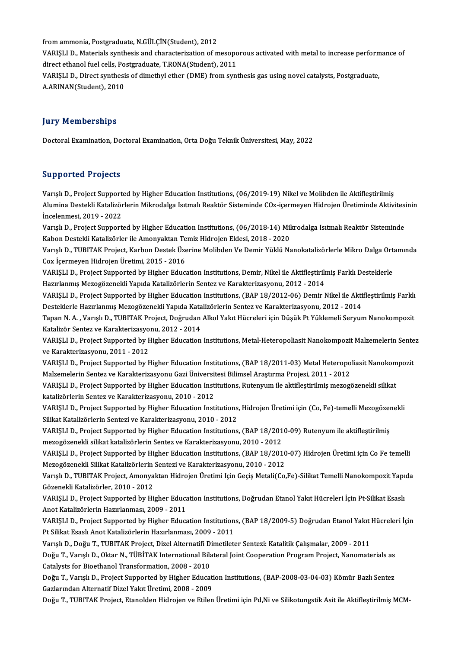from ammonia, Postgraduate, N.GÜLÇİN(Student), 2012<br>VARISLI D. Materials sunthesis and sharesterization of m

VARIŞLI D., Materials synthesis and characterization of mesoporous activated with metal to increase performance of direct ethanol fuel cells, Postgraduate, T.RONA(Student), 2011 from ammonia, Postgraduate, N.GÜLÇİN(Student), 2012<br>VARIŞLI D., Materials synthesis and characterization of mesopo<br>direct ethanol fuel cells, Postgraduate, T.RONA(Student), 2011<br>VARISLI D. Direct synthesis of dimethyl ethe VARIȘLI D., Materials synthesis and characterization of mesoporous activated with metal to increase perform<br>direct ethanol fuel cells, Postgraduate, T.RONA(Student), 2011<br>VARIȘLI D., Direct synthesis of dimethyl ether (DME

direct ethanol fuel cells, Po<br>VARIȘLI D., Direct synthesi<br>A.ARINAN(Student), 2010

# A.ARINAN(Student), 2010<br>Jury Memberships

DoctoralExamination,DoctoralExamination,OrtaDoğuTeknikÜniversitesi,May,2022

## Supported Projects

Supported Projects<br>Varışlı D., Project Supported by Higher Education Institutions, (06/2019-19) Nikel ve Molibden ile Aktifleştirilmiş<br>Alumina Destakli Katalizörlerin Milmodelse Jetmel: Bealtör Sisteminde COv isermeyen Hid Bupportedi Frojeels<br>Varışlı D., Project Supported by Higher Education Institutions, (06/2019-19) Nikel ve Molibden ile Aktifleştirilmiş<br>Alumina Destekli Katalizörlerin Mikrodalga Isıtmalı Reaktör Sisteminde COx-içermeyen H Varışlı D., Project Support<br>Alumina Destekli Katalizör<br>İncelenmesi, 2019 - 2022<br>Varıslı D., Preject Support Alumina Destekli Katalizörlerin Mikrodalga Isıtmalı Reaktör Sisteminde COx-içermeyen Hidrojen Üretiminde Aktivitesi<br>İncelenmesi, 2019 - 2022<br>Varışlı D., Project Supported by Higher Education Institutions, (06/2018-14) Mikr

İncelenmesi, 2019 - 2022<br>Varışlı D., Project Supported by Higher Education Institutions, (06/2018-14) Mil<br>Kabon Destekli Katalizörler ile Amonyaktan Temiz Hidrojen Eldesi, 2018 - 2020<br>Varıslı D. TUBITAK Project, Karbon Des Varışlı D., Project Supported by Higher Education Institutions, (06/2018-14) Mikrodalga Isıtmalı Reaktör Sisteminde<br>Kabon Destekli Katalizörler ile Amonyaktan Temiz Hidrojen Eldesi, 2018 - 2020<br>Varışlı D., TUBITAK Project,

Kabon Destekli Katalizörler ile Amonyaktan Temiz Hidrojen Eldesi, 2018 - 2020<br>Varışlı D., TUBITAK Project, Karbon Destek Üzerine Molibden Ve Demir Yüklü Nanokatalizörlerle Mikro Dalga Ortamında<br>Cox İçermeyen Hidrojen Üreti Varışlı D., TUBITAK Project, Karbon Destek Üzerine Molibden Ve Demir Yüklü Nanokatalizörlerle Mikro Dalga Ort<br>Cox İçermeyen Hidrojen Üretimi, 2015 - 2016<br>VARIŞLI D., Project Supported by Higher Education Institutions, Demi

Cox İçermeyen Hidrojen Üretimi, 2015 - 2016<br>VARIŞLI D., Project Supported by Higher Education Institutions, Demir, Nikel ile Aktifleştirili<br>Hazırlanmış Mezogözenekli Yapıda Katalizörlerin Sentez ve Karakterizasyonu, 2012 -VARIŞLI D., Project Supported by Higher Education Institutions, Demir, Nikel ile Aktifleştirilmiş Farklı Desteklerle<br>Hazırlanmış Mezogözenekli Yapıda Katalizörlerin Sentez ve Karakterizasyonu, 2012 - 2014<br>VARIŞLI D., Proje

Hazırlanmış Mezogözenekli Yapıda Katalizörlerin Sentez ve Karakterizasyonu, 2012 - 2014<br>VARIŞLI D., Project Supported by Higher Education Institutions, (BAP 18/2012-06) Demir Nikel ile Akti<br>Desteklerle Hazırlanmış Mezogöze VARIŞLI D., Project Supported by Higher Education Institutions, (BAP 18/2012-06) Demir Nikel ile Aktifleştirilmiş Farklı<br>Desteklerle Hazırlanmış Mezogözenekli Yapıda Katalizörlerin Sentez ve Karakterizasyonu, 2012 - 2014<br>T

Desteklerle Hazırlanmış Mezogözenekli Yapıda Katalizörlerin Sentez ve Karakterizasyonu, 2012 - 2014<br>Tapan N. A. , Varışlı D., TUBITAK Project, Doğrudan Alkol Yakıt Hücreleri için Düşük Pt Yüklemeli Seryum Nanokompozit<br>Kata Tapan N. A. , Varışlı D., TUBITAK Project, Doğrudan Alkol Yakıt Hücreleri için Düşük Pt Yüklemeli Seryum Nanokompozit<br>Katalizör Sentez ve Karakterizasyonu, 2012 - 2014<br>VARIŞLI D., Project Supported by Higher Education Inst

Katalizör Sentez ve Karakterizasyo<br>VARIŞLI D., Project Supported by <del>I</del><br>ve Karakterizasyonu, 2011 - 2012<br>VARISLI D. Broject Supported by I VARIŞLI D., Project Supported by Higher Education Institutions, Metal-Heteropoliasit Nanokompozit Malzemelerin Sente<br>ve Karakterizasyonu, 2011 - 2012<br>VARIŞLI D., Project Supported by Higher Education Institutions, (BAP 18/

ve Karakterizasyonu, 2011 - 2012<br>VARIŞLI D., Project Supported by Higher Education Institutions, (BAP 18/2011-03) Metal Heteropo<br>Malzemelerin Sentez ve Karakterizasyonu Gazi Üniversitesi Bilimsel Araştırma Projesi, 2011 -

VARIŞLI D., Project Supported by Higher Education Institutions, (BAP 18/2011-03) Metal Heteropoliasit Nanokompozit<br>Malzemelerin Sentez ve Karakterizasyonu Gazi Üniversitesi Bilimsel Araştırma Projesi, 2011 - 2012<br>VARIŞLI D Malzemelerin Sentez ve Karakterizasyonu Gazi Üniversit<br>VARIŞLI D., Project Supported by Higher Education Inst<br>katalizörlerin Sentez ve Karakterizasyonu, 2010 - 2012<br>VARISLI D. Project Supported by Higher Education Inst VARIŞLI D., Project Supported by Higher Education Institutions, Rutenyum ile aktifleştirilmiş mezogözenekli silikat<br>katalizörlerin Sentez ve Karakterizasyonu, 2010 - 2012<br>VARIŞLI D., Project Supported by Higher Education I

katalizörlerin Sentez ve Karakterizasyonu, 2010 - 2012<br>VARIŞLI D., Project Supported by Higher Education Institutions<br>Silikat Katalizörlerin Sentezi ve Karakterizasyonu, 2010 - 2012<br>VARISLI D. Project Supported by Higher E VARIŞLI D., Project Supported by Higher Education Institutions, Hidrojen Üretimi için (Co, Fe)-temelli Mezogözer<br>Silikat Katalizörlerin Sentezi ve Karakterizasyonu, 2010 - 2012<br>VARIŞLI D., Project Supported by Higher Educa

Silikat Katalizörlerin Sentezi ve Karakterizasyonu, 2010 - 2012<br>VARIŞLI D., Project Supported by Higher Education Institutions, (BAP 18/2010-09) Rutenyum ile aktifleştirilmiş<br>mezogözenekli silikat katalizörlerin Sentez ve VARIŞLI D., Project Supported by Higher Education Institutions, (BAP 18/2010-09) Rutenyum ile aktifleştirilmiş<br>mezogözenekli silikat katalizörlerin Sentez ve Karakterizasyonu, 2010 - 2012<br>VARIŞLI D., Project Supported by H

mezogözenekli silikat katalizörlerin Sentez ve Karakterizasyonu, 2010 - 2012<br>VARIŞLI D., Project Supported by Higher Education Institutions, (BAP 18/2010<br>Mezogözenekli Silikat Katalizörlerin Sentezi ve Karakterizasyonu, 20 VARIŞLI D., Project Supported by Higher Education Institutions, (BAP 18/2010-07) Hidrojen Üretimi için Co Fe temelli<br>Mezogözenekli Silikat Katalizörlerin Sentezi ve Karakterizasyonu, 2010 - 2012<br>Varışlı D., TUBITAK Project

Mezogözenekli Silikat Katalizörlerin<br>Varışlı D., TUBITAK Project, Amonya<br>Gözenekli Katalizörler, 2010 - 2012<br>VABISLI D. Broject Sunnerted by Hi Varışlı D., TUBITAK Project, Amonyaktan Hidrojen Üretimi Için Geçiş Metali(Co,Fe)-Silikat Temelli Nanokompozit Yapı<br>Gözenekli Katalizörler, 2010 - 2012<br>VARIŞLI D., Project Supported by Higher Education Institutions, Doğrud

Gözenekli Katalizörler, 2010 - 2012<br>VARIŞLI D., Project Supported by Higher Educa<br>Anot Katalizörlerin Hazırlanması, 2009 - 2011<br>VARISLI D. Project Supported by Higher Educa VARIŞLI D., Project Supported by Higher Education Institutions, Doğrudan Etanol Yakıt Hücreleri İçin Pt-Silikat Esaslı<br>Anot Katalizörlerin Hazırlanması, 2009 - 2011<br>VARIŞLI D., Project Supported by Higher Education Institu

Anot Katalizörlerin Hazırlanması, 2009 - 2011<br>VARIŞLI D., Project Supported by Higher Education Institutions, (BAP 18/2009-5) Doğrudan Etanol Yakıt Hücreleri İçin<br>Pt Silikat Esaslı Anot Katalizörlerin Hazırlanması, 2009 - VARIŞLI D., Project Supported by Higher Education Institutions, (BAP 18/2009-5) Doğrudan Etanol Yakıt .<br>Pt Silikat Esaslı Anot Katalizörlerin Hazırlanması, 2009 - 2011<br>Varışlı D., Doğu T., TUBITAK Project, Dizel Alternatif

Pt Silikat Esaslı Anot Katalizörlerin Hazırlanması, 2009 - 2011<br>Varışlı D., Doğu T., TUBITAK Project, Dizel Alternatifi Dimetileter Sentezi: Katalitik Çalışmalar, 2009 - 2011<br>Doğu T., Varışlı D., Oktar N., TÜBİTAK Internat Varışlı D., Doğu T., TUBITAK Project, Dizel Alternatifi D.<br>Doğu T., Varışlı D., Oktar N., TÜBİTAK International Bila<br>Catalysts for Bioethanol Transformation, 2008 - 2010<br>Doğu T. Varıslı D. Project Sunnorted bu Hisber Eduse Doğu T., Varışlı D., Oktar N., TÜBİTAK International Bilateral Joint Cooperation Program Project, Nanomaterials as<br>Catalysts for Bioethanol Transformation, 2008 - 2010<br>Doğu T., Varışlı D., Project Supported by Higher Educa

Catalysts for Bioethanol Transformation, 2008 - 2010<br>Doğu T., Varışlı D., Project Supported by Higher Education Institutions, (BAP-2008-03-04-03) Kömür Bazlı Sentez<br>Gazlarından Alternatif Dizel Yakıt Üretimi, 2008 - 2009

Doğu T., TUBITAK Project, Etanolden Hidrojen ve Etilen Üretimi için Pd,Ni ve Silikotungstik Asit ile Aktifleştirilmiş MCM-